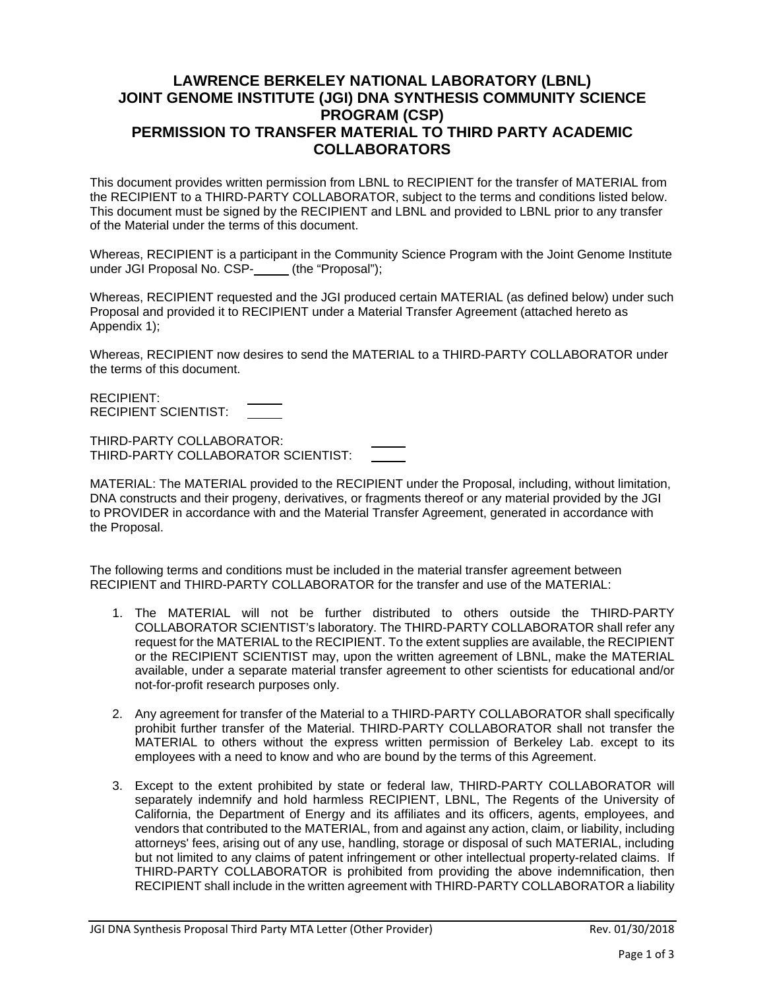## **LAWRENCE BERKELEY NATIONAL LABORATORY (LBNL) JOINT GENOME INSTITUTE (JGI) DNA SYNTHESIS COMMUNITY SCIENCE PROGRAM (CSP) PERMISSION TO TRANSFER MATERIAL TO THIRD PARTY ACADEMIC COLLABORATORS**

This document provides written permission from LBNL to RECIPIENT for the transfer of MATERIAL from the RECIPIENT to a THIRD-PARTY COLLABORATOR, subject to the terms and conditions listed below. This document must be signed by the RECIPIENT and LBNL and provided to LBNL prior to any transfer of the Material under the terms of this document.

Whereas, RECIPIENT is a participant in the Community Science Program with the Joint Genome Institute under JGI Proposal No. CSP- (the "Proposal");

Whereas, RECIPIENT requested and the JGI produced certain MATERIAL (as defined below) under such Proposal and provided it to RECIPIENT under a Material Transfer Agreement (attached hereto as Appendix 1);

Whereas, RECIPIENT now desires to send the MATERIAL to a THIRD-PARTY COLLABORATOR under the terms of this document.

RECIPIENT: RECIPIENT SCIENTIST:

THIRD-PARTY COLLABORATOR: THIRD-PARTY COLLABORATOR SCIENTIST:

MATERIAL: The MATERIAL provided to the RECIPIENT under the Proposal, including, without limitation, DNA constructs and their progeny, derivatives, or fragments thereof or any material provided by the JGI to PROVIDER in accordance with and the Material Transfer Agreement, generated in accordance with the Proposal.

The following terms and conditions must be included in the material transfer agreement between RECIPIENT and THIRD-PARTY COLLABORATOR for the transfer and use of the MATERIAL:

- 1. The MATERIAL will not be further distributed to others outside the THIRD-PARTY COLLABORATOR SCIENTIST's laboratory. The THIRD-PARTY COLLABORATOR shall refer any request for the MATERIAL to the RECIPIENT. To the extent supplies are available, the RECIPIENT or the RECIPIENT SCIENTIST may, upon the written agreement of LBNL, make the MATERIAL available, under a separate material transfer agreement to other scientists for educational and/or not-for-profit research purposes only.
- 2. Any agreement for transfer of the Material to a THIRD-PARTY COLLABORATOR shall specifically prohibit further transfer of the Material. THIRD-PARTY COLLABORATOR shall not transfer the MATERIAL to others without the express written permission of Berkeley Lab. except to its employees with a need to know and who are bound by the terms of this Agreement.
- 3. Except to the extent prohibited by state or federal law, THIRD-PARTY COLLABORATOR will separately indemnify and hold harmless RECIPIENT, LBNL, The Regents of the University of California, the Department of Energy and its affiliates and its officers, agents, employees, and vendors that contributed to the MATERIAL, from and against any action, claim, or liability, including attorneys' fees, arising out of any use, handling, storage or disposal of such MATERIAL, including but not limited to any claims of patent infringement or other intellectual property-related claims. If THIRD-PARTY COLLABORATOR is prohibited from providing the above indemnification, then RECIPIENT shall include in the written agreement with THIRD-PARTY COLLABORATOR a liability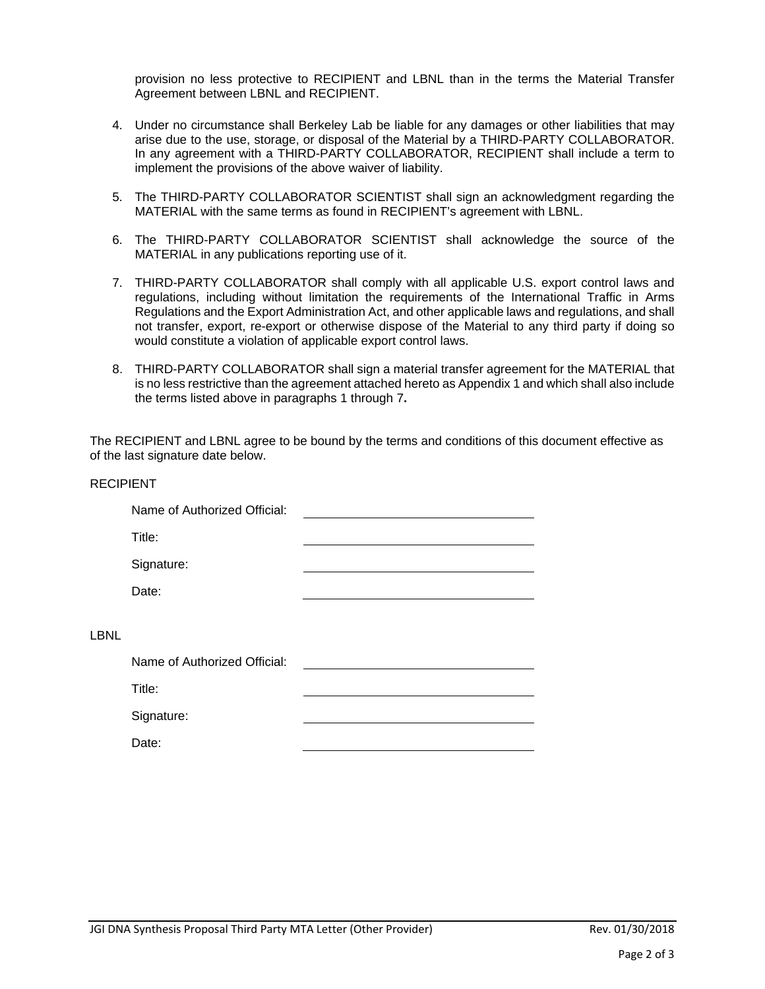provision no less protective to RECIPIENT and LBNL than in the terms the Material Transfer Agreement between LBNL and RECIPIENT.

- 4. Under no circumstance shall Berkeley Lab be liable for any damages or other liabilities that may arise due to the use, storage, or disposal of the Material by a THIRD-PARTY COLLABORATOR. In any agreement with a THIRD-PARTY COLLABORATOR, RECIPIENT shall include a term to implement the provisions of the above waiver of liability.
- 5. The THIRD-PARTY COLLABORATOR SCIENTIST shall sign an acknowledgment regarding the MATERIAL with the same terms as found in RECIPIENT's agreement with LBNL.
- 6. The THIRD-PARTY COLLABORATOR SCIENTIST shall acknowledge the source of the MATERIAL in any publications reporting use of it.
- 7. THIRD-PARTY COLLABORATOR shall comply with all applicable U.S. export control laws and regulations, including without limitation the requirements of the International Traffic in Arms Regulations and the Export Administration Act, and other applicable laws and regulations, and shall not transfer, export, re-export or otherwise dispose of the Material to any third party if doing so would constitute a violation of applicable export control laws.
- 8. THIRD-PARTY COLLABORATOR shall sign a material transfer agreement for the MATERIAL that is no less restrictive than the agreement attached hereto as Appendix 1 and which shall also include the terms listed above in paragraphs 1 through 7**.**

The RECIPIENT and LBNL agree to be bound by the terms and conditions of this document effective as of the last signature date below.

| <b>RECIPIENT</b> |                              |  |
|------------------|------------------------------|--|
|                  | Name of Authorized Official: |  |
|                  | Title:                       |  |
|                  | Signature:                   |  |
|                  | Date:                        |  |
| LBNL             |                              |  |
|                  | Name of Authorized Official: |  |
|                  | Title:                       |  |
|                  | Signature:                   |  |
|                  | Date:                        |  |
|                  |                              |  |